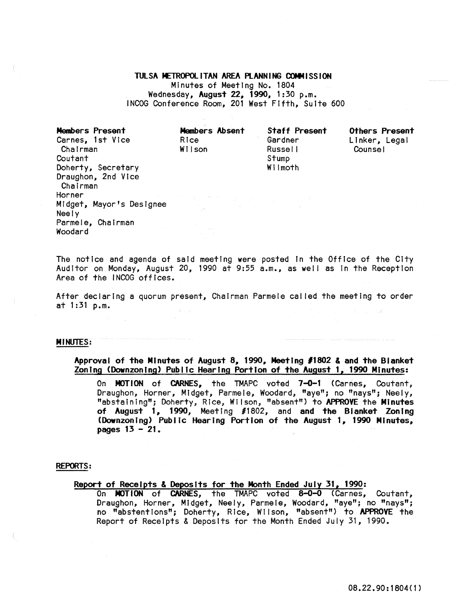### TULSA METROPOLITAN AREA PLANNING COMMISSION

Minutes of Meeting No. 1804 Wednesday, August 22, 1990, 1:30 p.m. INCOG Conference Room, 201 West Fifth, Suite 600

Members Present Carnes, 1st Vice Chairman Coutant Doherty, Secretary Draughon, 2nd Vice Chairman Horner Midget, Mayor's Designee Neely Parmele, Chairman Woodard

Members Absent Rice Wi Ison

Staff Present Gardner Russe II Stump Wilmoth

others Present Linker, Legal Counsel

The notice and agenda of said meeting were posted in the Office of the City Auditor on Monday, August 20, 1990 at 9:55 a.m., as well as in the Reception Area of the INCOG offices.

After declaring a quorum present, Chairman Parmele cal led the meeting to order at 1 :31 p.m.

#### MINUTES:

Approval of the Minutes of August 8, 1990, Meeting *11802* & and the Blanket Zoning (Oownzontng) Public Hearing Portion of the August 1, 1990 Minutes:

On MOTION of CARNES, the TMAPC voted 7-0-1 (Carnes, Coutant, Draughon, Horner, Midget, Parmele, Woodard, "aye"; no "nays"; Neely, "abstalntng"; Doherty; Rice; Wilson, "absent") to APPROVE the Minutes of August 1, 1990, Meeting #1802, and and the Blanket Zoning (Downzoning) Public Hearing Portion of the August 1, 1990 Minutes, pages 13 - 21.

#### REPORTS:

# Report of Receipts & Deposits for the Month Ended July 31, 1990:

On MOTION of CARNES, the TMAPC voted 8-0-0 (Carnes, Coutant, Draughon, Horner, Midget, Neely, Parmele, Woodard, "aye"; no "nays"; no "abstentions"; Doherty, Rice, Wilson, "absent") to APPROVE the Report of Receipts & Deposits for the Month Ended July 31, 1990.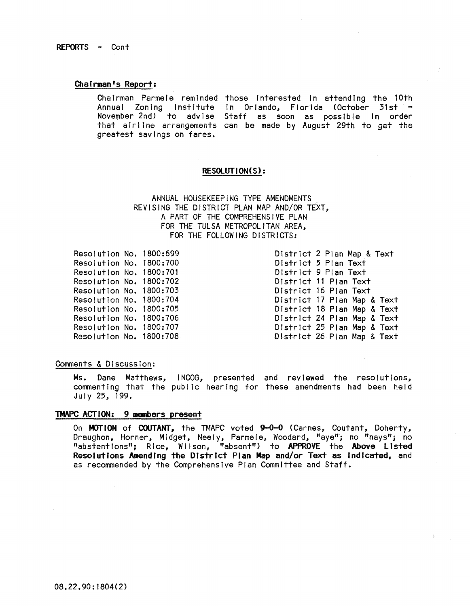REPORTS - Cont

#### Chairman's Report:

Chairman Parmele reminded those interested in attending the 10th Annual Zoning Institute In Orlando, Florida (October 31st November 2nd) to advise Staff as soon as possible In order that airline arrangements can be made by August 29th to get the greatest savings on fares.

#### RESOlUTION(S) :

ANNUAL HOUSEKEEPiNG TYPE AMENDMENTS REVISING THE DISTRICT PLAN MAP AND/OR TEXT, A PART OF THE COMPREHENSIVE PLAN FOR THE TULSA METROPOLITAN AREA, FOR THE FOLLOWING DISTRICTS:

Resolution No. 1800:699 Resolution No. 1800:700 Resolution No. 1800:701 Resolution No. 1800:702 Resolution No. 1800:703 Resolution No. 1800:704 Resolution No. 1800:705 Resolution No. 1800:706 Resolution No. 1800:707 Resolution No. 1800:708 District 2 Plan Map & Text District 5 Plan Text District 9 Plan Text District 11 Plan Text District 16 Plan Text District 17 Plan Map & Text District 18 Plan Map & Text District 24 Plan Map & Text District 25 Plan Map & Text District 26 Plan Map & Text

### Comments & Discussion:

Ms. Dane Matthews, I NCOG, presented and reviewed the resolutions, commenting that the public hearing for these amendments had been held July  $25$ , 199.

### TMAPC ACT ION: 9 members present

On MOTION of COUTANT, the TMAPC voted 9-0-0 (Carnes, Coutant, Doherty, Draughon, Horner, Midget, Neely, Parmele, Woodard, "aye"; no "nays"; no "abstentions"; Rice, Wilson, "absent") to APPROVE the Above Listed Resolutions Amending the District Plan Map and/or Text as indicated, and as recommended by the Comprehensive Plan Committee and Staff.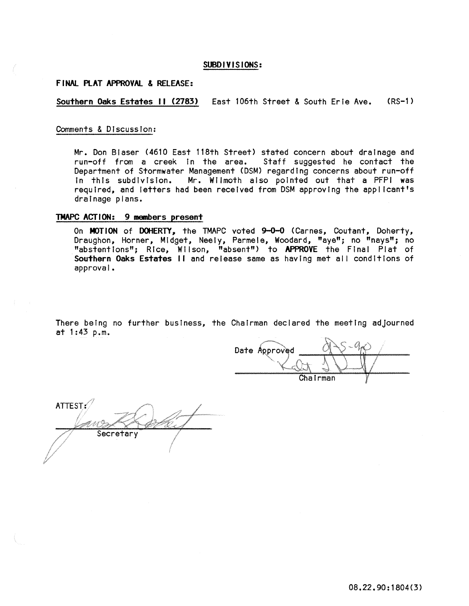#### **SUBDIVISIONS:**

#### **FINAL PlAT APPROVAl.. & RElEASE:**

## **Southern Oaks Estates II (2183)** East 106th Street & South Erie Ave. (RS-1)

#### Comments & DIscussion:

Mr. Don Blaser (4610 East 118th Street) stated concern about drainage and run-off from a creek in the area. Staff suggested he contact the Department of Stormwater Management (DSM) regarding concerns about run-off In this subdivision. Mr. Wilmoth also pointed out that a PFPI was required, and letters had been received from DSM approving the applicant's draInage plans.

## **TMAPC ACTION: 9 members present**

On MOTION of DOHERTY, the TMAPC voted 9-0-0 (Carnes, Coutant, Doherty, Draughon, Horner, Midget, Neely, Parmele, Woodard, "aye"; no "nays"; no "abstentions"; Rice, Wilson, "absent") to **APPROVE** the Final Plat of Southern Oaks Estates II and release same as having met all conditions of approval.

There being no further business, the Chairman declared the meeting adjourned at 1:43 p.m.

Date Approved Chairman

ATTEST $\mathscr{O}$ Secretary